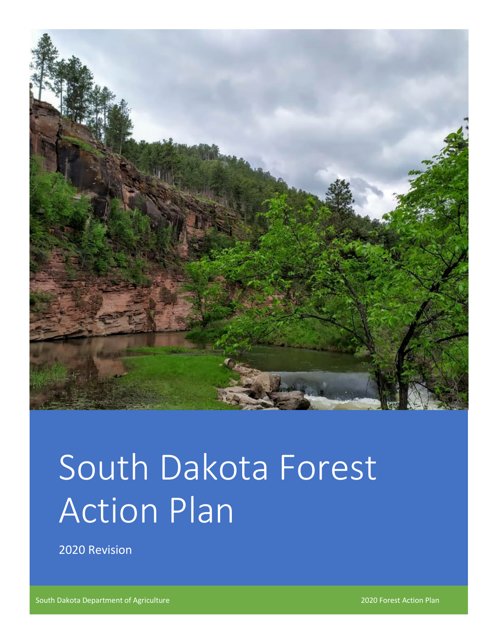

# South Dakota Forest Action Plan

2020 Revision

South Dakota Department of Agriculture 2020 Forest Action Plan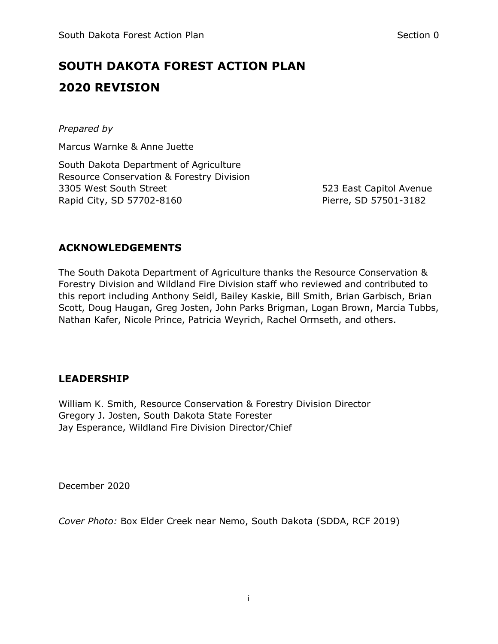# **SOUTH DAKOTA FOREST ACTION PLAN 2020 REVISION**

#### *Prepared by*

Marcus Warnke & Anne Juette

South Dakota Department of Agriculture Resource Conservation & Forestry Division 3305 West South Street 523 East Capitol Avenue Rapid City, SD 57702-8160 Pierre, SD 57501-3182

### **ACKNOWLEDGEMENTS**

The South Dakota Department of Agriculture thanks the Resource Conservation & Forestry Division and Wildland Fire Division staff who reviewed and contributed to this report including Anthony Seidl, Bailey Kaskie, Bill Smith, Brian Garbisch, Brian Scott, Doug Haugan, Greg Josten, John Parks Brigman, Logan Brown, Marcia Tubbs, Nathan Kafer, Nicole Prince, Patricia Weyrich, Rachel Ormseth, and others.

## **LEADERSHIP**

William K. Smith, Resource Conservation & Forestry Division Director Gregory J. Josten, South Dakota State Forester Jay Esperance, Wildland Fire Division Director/Chief

December 2020

*Cover Photo:* Box Elder Creek near Nemo, South Dakota (SDDA, RCF 2019)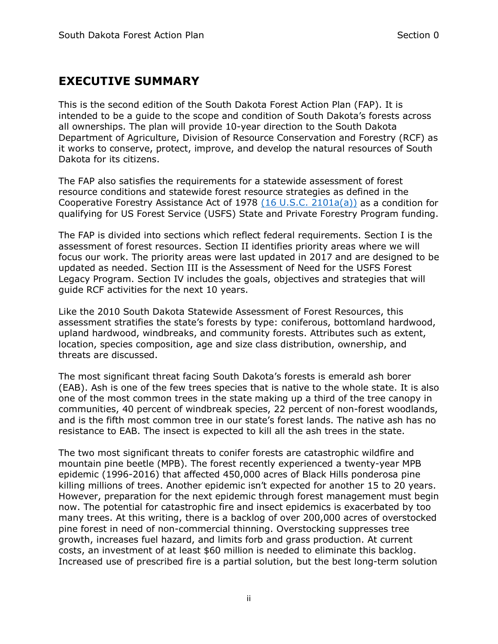## **EXECUTIVE SUMMARY**

This is the second edition of the South Dakota Forest Action Plan (FAP). It is intended to be a guide to the scope and condition of South Dakota's forests across all ownerships. The plan will provide 10-year direction to the South Dakota Department of Agriculture, Division of Resource Conservation and Forestry (RCF) as it works to conserve, protect, improve, and develop the natural resources of South Dakota for its citizens.

The FAP also satisfies the requirements for a statewide assessment of forest resource conditions and statewide forest resource strategies as defined in the Cooperative Forestry Assistance Act of 1978 [\(16 U.S.C. 2101a\(a\)\)](https://uscode.house.gov/view.xhtml?req=(title:16%20section:2101a%20edition:prelim)) as a condition for qualifying for US Forest Service (USFS) State and Private Forestry Program funding.

The FAP is divided into sections which reflect federal requirements. Section I is the assessment of forest resources. Section II identifies priority areas where we will focus our work. The priority areas were last updated in 2017 and are designed to be updated as needed. Section III is the Assessment of Need for the USFS Forest Legacy Program. Section IV includes the goals, objectives and strategies that will guide RCF activities for the next 10 years.

Like the 2010 South Dakota Statewide Assessment of Forest Resources, this assessment stratifies the state's forests by type: coniferous, bottomland hardwood, upland hardwood, windbreaks, and community forests. Attributes such as extent, location, species composition, age and size class distribution, ownership, and threats are discussed.

The most significant threat facing South Dakota's forests is emerald ash borer (EAB). Ash is one of the few trees species that is native to the whole state. It is also one of the most common trees in the state making up a third of the tree canopy in communities, 40 percent of windbreak species, 22 percent of non-forest woodlands, and is the fifth most common tree in our state's forest lands. The native ash has no resistance to EAB. The insect is expected to kill all the ash trees in the state.

The two most significant threats to conifer forests are catastrophic wildfire and mountain pine beetle (MPB). The forest recently experienced a twenty-year MPB epidemic (1996-2016) that affected 450,000 acres of Black Hills ponderosa pine killing millions of trees. Another epidemic isn't expected for another 15 to 20 years. However, preparation for the next epidemic through forest management must begin now. The potential for catastrophic fire and insect epidemics is exacerbated by too many trees. At this writing, there is a backlog of over 200,000 acres of overstocked pine forest in need of non-commercial thinning. Overstocking suppresses tree growth, increases fuel hazard, and limits forb and grass production. At current costs, an investment of at least \$60 million is needed to eliminate this backlog. Increased use of prescribed fire is a partial solution, but the best long-term solution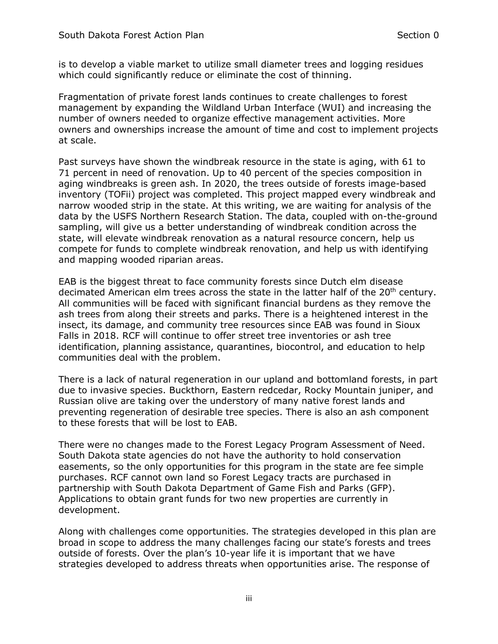is to develop a viable market to utilize small diameter trees and logging residues which could significantly reduce or eliminate the cost of thinning.

Fragmentation of private forest lands continues to create challenges to forest management by expanding the Wildland Urban Interface (WUI) and increasing the number of owners needed to organize effective management activities. More owners and ownerships increase the amount of time and cost to implement projects at scale.

Past surveys have shown the windbreak resource in the state is aging, with 61 to 71 percent in need of renovation. Up to 40 percent of the species composition in aging windbreaks is green ash. In 2020, the trees outside of forests image-based inventory (TOFii) project was completed. This project mapped every windbreak and narrow wooded strip in the state. At this writing, we are waiting for analysis of the data by the USFS Northern Research Station. The data, coupled with on-the-ground sampling, will give us a better understanding of windbreak condition across the state, will elevate windbreak renovation as a natural resource concern, help us compete for funds to complete windbreak renovation, and help us with identifying and mapping wooded riparian areas.

EAB is the biggest threat to face community forests since Dutch elm disease decimated American elm trees across the state in the latter half of the  $20<sup>th</sup>$  century. All communities will be faced with significant financial burdens as they remove the ash trees from along their streets and parks. There is a heightened interest in the insect, its damage, and community tree resources since EAB was found in Sioux Falls in 2018. RCF will continue to offer street tree inventories or ash tree identification, planning assistance, quarantines, biocontrol, and education to help communities deal with the problem.

There is a lack of natural regeneration in our upland and bottomland forests, in part due to invasive species. Buckthorn, Eastern redcedar, Rocky Mountain juniper, and Russian olive are taking over the understory of many native forest lands and preventing regeneration of desirable tree species. There is also an ash component to these forests that will be lost to EAB.

There were no changes made to the Forest Legacy Program Assessment of Need. South Dakota state agencies do not have the authority to hold conservation easements, so the only opportunities for this program in the state are fee simple purchases. RCF cannot own land so Forest Legacy tracts are purchased in partnership with South Dakota Department of Game Fish and Parks (GFP). Applications to obtain grant funds for two new properties are currently in development.

Along with challenges come opportunities. The strategies developed in this plan are broad in scope to address the many challenges facing our state's forests and trees outside of forests. Over the plan's 10-year life it is important that we have strategies developed to address threats when opportunities arise. The response of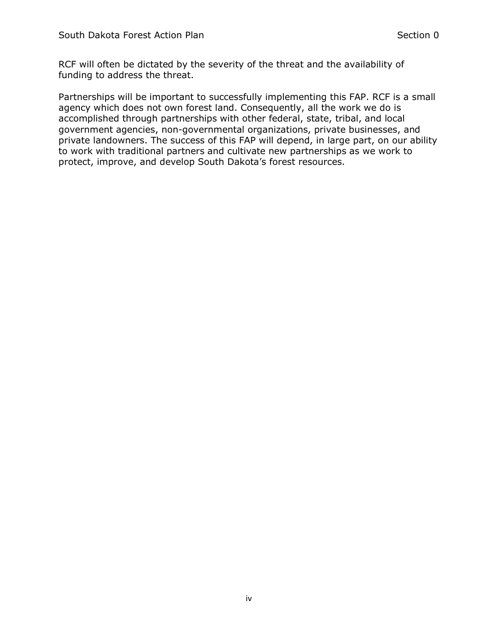RCF will often be dictated by the severity of the threat and the availability of funding to address the threat.

Partnerships will be important to successfully implementing this FAP. RCF is a small agency which does not own forest land. Consequently, all the work we do is accomplished through partnerships with other federal, state, tribal, and local government agencies, non-governmental organizations, private businesses, and private landowners. The success of this FAP will depend, in large part, on our ability to work with traditional partners and cultivate new partnerships as we work to protect, improve, and develop South Dakota's forest resources.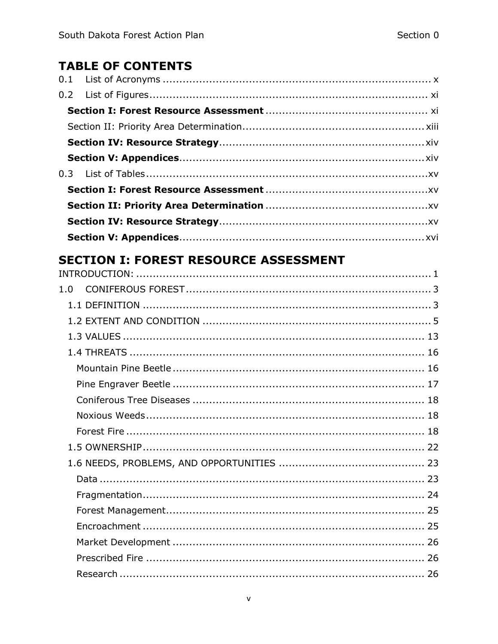## **TABLE OF CONTENTS**

# **SECTION I: FOREST RESOURCE ASSESSMENT**

| 1.0 |  |
|-----|--|
|     |  |
|     |  |
|     |  |
|     |  |
|     |  |
|     |  |
|     |  |
|     |  |
|     |  |
|     |  |
|     |  |
|     |  |
|     |  |
|     |  |
|     |  |
|     |  |
|     |  |
|     |  |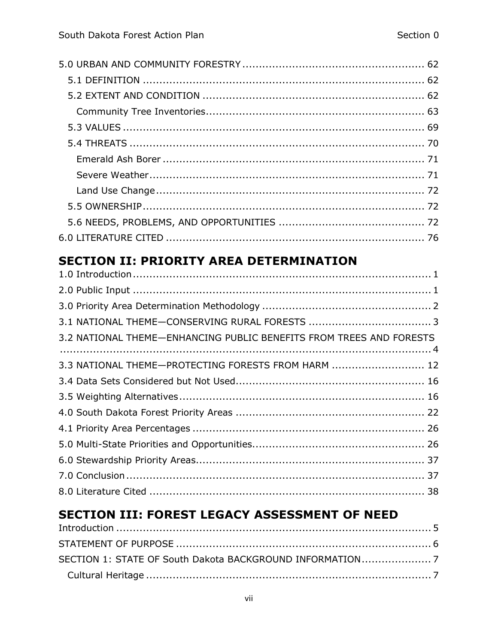# **SECTION II: PRIORITY AREA DETERMINATION**

| 3.2 NATIONAL THEME-ENHANCING PUBLIC BENEFITS FROM TREES AND FORESTS |  |
|---------------------------------------------------------------------|--|
|                                                                     |  |
| 3.3 NATIONAL THEME-PROTECTING FORESTS FROM HARM  12                 |  |
|                                                                     |  |
|                                                                     |  |
|                                                                     |  |
|                                                                     |  |
|                                                                     |  |
|                                                                     |  |
|                                                                     |  |
|                                                                     |  |

#### SECTION III: FOREST LEGACY ASSESSMENT OF NEED  $I<sub>n</sub>$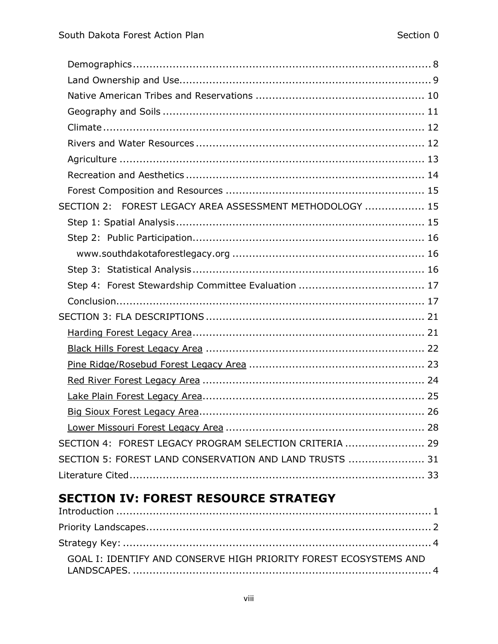| SECTION 2: FOREST LEGACY AREA ASSESSMENT METHODOLOGY  15 |
|----------------------------------------------------------|
|                                                          |
|                                                          |
|                                                          |
|                                                          |
|                                                          |
|                                                          |
|                                                          |
|                                                          |
|                                                          |
|                                                          |
|                                                          |
|                                                          |
|                                                          |
|                                                          |
| SECTION 4: FOREST LEGACY PROGRAM SELECTION CRITERIA  29  |
| SECTION 5: FOREST LAND CONSERVATION AND LAND TRUSTS  31  |
|                                                          |

# **SECTION IV: FOREST RESOURCE STRATEGY**

| GOAL I: IDENTIFY AND CONSERVE HIGH PRIORITY FOREST ECOSYSTEMS AND |
|-------------------------------------------------------------------|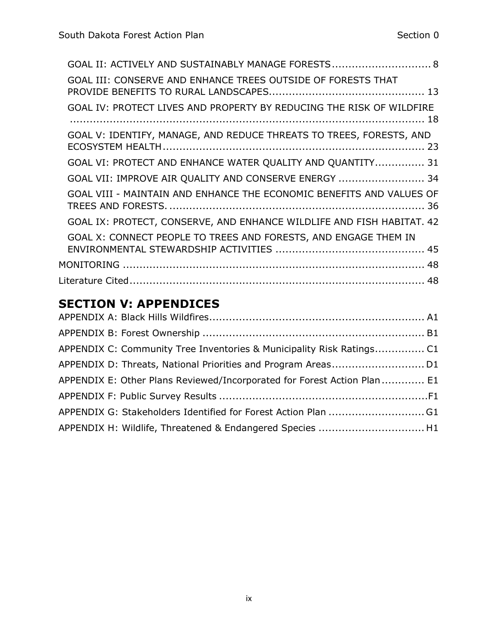| GOAL II: ACTIVELY AND SUSTAINABLY MANAGE FORESTS 8                    |
|-----------------------------------------------------------------------|
| GOAL III: CONSERVE AND ENHANCE TREES OUTSIDE OF FORESTS THAT          |
| GOAL IV: PROTECT LIVES AND PROPERTY BY REDUCING THE RISK OF WILDFIRE  |
| GOAL V: IDENTIFY, MANAGE, AND REDUCE THREATS TO TREES, FORESTS, AND   |
| GOAL VI: PROTECT AND ENHANCE WATER QUALITY AND QUANTITY 31            |
| GOAL VII: IMPROVE AIR QUALITY AND CONSERVE ENERGY  34                 |
| GOAL VIII - MAINTAIN AND ENHANCE THE ECONOMIC BENEFITS AND VALUES OF  |
| GOAL IX: PROTECT, CONSERVE, AND ENHANCE WILDLIFE AND FISH HABITAT. 42 |
| GOAL X: CONNECT PEOPLE TO TREES AND FORESTS, AND ENGAGE THEM IN       |
|                                                                       |
|                                                                       |

# **SECTION V: APPENDICES**

| APPENDIX C: Community Tree Inventories & Municipality Risk Ratings C1    |  |
|--------------------------------------------------------------------------|--|
|                                                                          |  |
| APPENDIX E: Other Plans Reviewed/Incorporated for Forest Action Plan  E1 |  |
|                                                                          |  |
|                                                                          |  |
| APPENDIX H: Wildlife, Threatened & Endangered Species  H1                |  |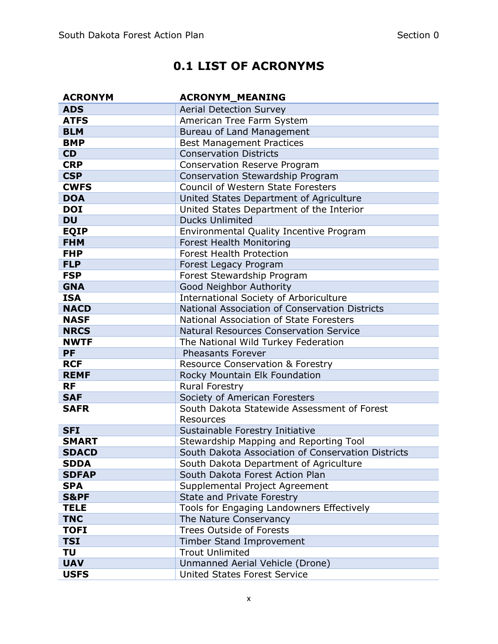# **0.1 LIST OF ACRONYMS**

<span id="page-10-0"></span>

| <b>ACRONYM</b>  | <b>ACRONYM MEANING</b>                             |
|-----------------|----------------------------------------------------|
| <b>ADS</b>      | <b>Aerial Detection Survey</b>                     |
| <b>ATFS</b>     | American Tree Farm System                          |
| <b>BLM</b>      | Bureau of Land Management                          |
| <b>BMP</b>      | <b>Best Management Practices</b>                   |
| CD              | <b>Conservation Districts</b>                      |
| <b>CRP</b>      | Conservation Reserve Program                       |
| <b>CSP</b>      | Conservation Stewardship Program                   |
| <b>CWFS</b>     | <b>Council of Western State Foresters</b>          |
| <b>DOA</b>      | United States Department of Agriculture            |
| <b>DOI</b>      | United States Department of the Interior           |
| <b>DU</b>       | <b>Ducks Unlimited</b>                             |
| <b>EQIP</b>     | Environmental Quality Incentive Program            |
| <b>FHM</b>      | <b>Forest Health Monitoring</b>                    |
| <b>FHP</b>      | <b>Forest Health Protection</b>                    |
| <b>FLP</b>      | Forest Legacy Program                              |
| <b>FSP</b>      | Forest Stewardship Program                         |
| <b>GNA</b>      | Good Neighbor Authority                            |
| <b>ISA</b>      | <b>International Society of Arboriculture</b>      |
| <b>NACD</b>     | National Association of Conservation Districts     |
| <b>NASF</b>     | National Association of State Foresters            |
| <b>NRCS</b>     | <b>Natural Resources Conservation Service</b>      |
| <b>NWTF</b>     | The National Wild Turkey Federation                |
| <b>PF</b>       | <b>Pheasants Forever</b>                           |
| <b>RCF</b>      | <b>Resource Conservation &amp; Forestry</b>        |
| <b>REMF</b>     | Rocky Mountain Elk Foundation                      |
| <b>RF</b>       | Rural Forestry                                     |
| <b>SAF</b>      | Society of American Foresters                      |
| <b>SAFR</b>     | South Dakota Statewide Assessment of Forest        |
|                 | <b>Resources</b>                                   |
| <b>SFI</b>      | Sustainable Forestry Initiative                    |
| <b>SMART</b>    | Stewardship Mapping and Reporting Tool             |
| <b>SDACD</b>    | South Dakota Association of Conservation Districts |
| <b>SDDA</b>     | South Dakota Department of Agriculture             |
| <b>SDFAP</b>    | South Dakota Forest Action Plan                    |
| <b>SPA</b>      | Supplemental Project Agreement                     |
| <b>S&amp;PF</b> | State and Private Forestry                         |
| <b>TELE</b>     | Tools for Engaging Landowners Effectively          |
| <b>TNC</b>      | The Nature Conservancy                             |
| <b>TOFI</b>     | <b>Trees Outside of Forests</b>                    |
| <b>TSI</b>      | Timber Stand Improvement                           |
| TU              | <b>Trout Unlimited</b>                             |
| <b>UAV</b>      | Unmanned Aerial Vehicle (Drone)                    |
| <b>USFS</b>     | <b>United States Forest Service</b>                |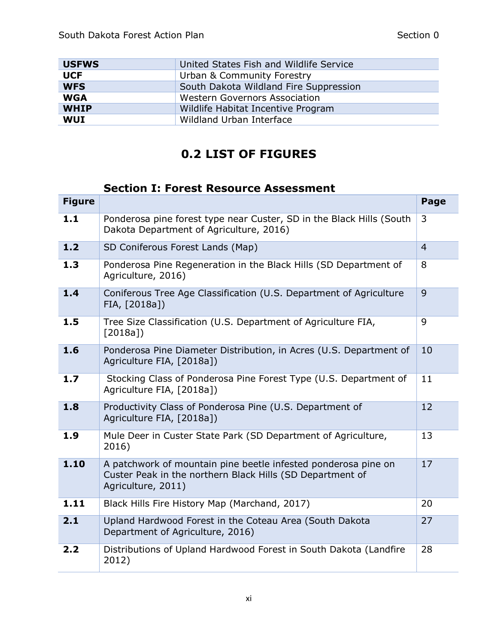| <b>USFWS</b> | United States Fish and Wildlife Service |
|--------------|-----------------------------------------|
| <b>UCF</b>   | Urban & Community Forestry              |
| <b>WFS</b>   | South Dakota Wildland Fire Suppression  |
| <b>WGA</b>   | <b>Western Governors Association</b>    |
| <b>WHIP</b>  | Wildlife Habitat Incentive Program      |
| <b>WUI</b>   | Wildland Urban Interface                |

# **0.2 LIST OF FIGURES**

## <span id="page-11-1"></span>**Section I: Forest Resource Assessment**

<span id="page-11-0"></span>

| <b>Figure</b> |                                                                                                                                                   | Page           |
|---------------|---------------------------------------------------------------------------------------------------------------------------------------------------|----------------|
| 1.1           | Ponderosa pine forest type near Custer, SD in the Black Hills (South<br>Dakota Department of Agriculture, 2016)                                   | 3              |
| 1.2           | SD Coniferous Forest Lands (Map)                                                                                                                  | $\overline{4}$ |
| 1.3           | Ponderosa Pine Regeneration in the Black Hills (SD Department of<br>Agriculture, 2016)                                                            | 8              |
| 1.4           | Coniferous Tree Age Classification (U.S. Department of Agriculture<br>FIA, [2018a])                                                               | 9              |
| 1.5           | Tree Size Classification (U.S. Department of Agriculture FIA,<br>[2018a]                                                                          | 9              |
| 1.6           | Ponderosa Pine Diameter Distribution, in Acres (U.S. Department of<br>Agriculture FIA, [2018a])                                                   | 10             |
| 1.7           | Stocking Class of Ponderosa Pine Forest Type (U.S. Department of<br>Agriculture FIA, [2018a])                                                     | 11             |
| 1.8           | Productivity Class of Ponderosa Pine (U.S. Department of<br>Agriculture FIA, [2018a])                                                             | 12             |
| 1.9           | Mule Deer in Custer State Park (SD Department of Agriculture,<br>2016)                                                                            | 13             |
| 1.10          | A patchwork of mountain pine beetle infested ponderosa pine on<br>Custer Peak in the northern Black Hills (SD Department of<br>Agriculture, 2011) | 17             |
| 1.11          | Black Hills Fire History Map (Marchand, 2017)                                                                                                     | 20             |
| 2.1           | Upland Hardwood Forest in the Coteau Area (South Dakota<br>Department of Agriculture, 2016)                                                       | 27             |
| 2.2           | Distributions of Upland Hardwood Forest in South Dakota (Landfire<br>2012)                                                                        | 28             |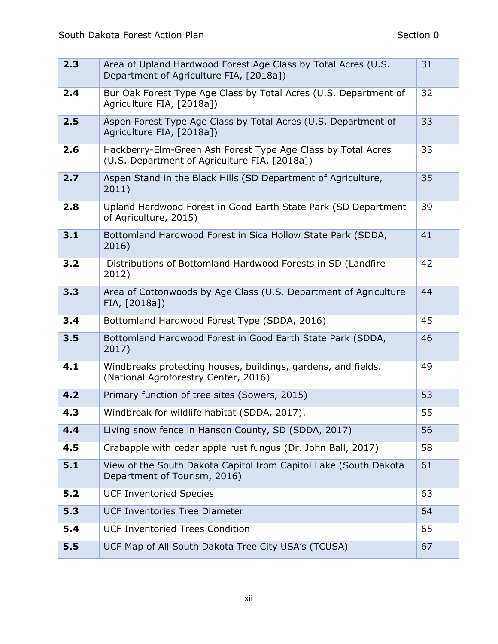| 2.3 | Area of Upland Hardwood Forest Age Class by Total Acres (U.S.<br>Department of Agriculture FIA, [2018a])      | 31 |
|-----|---------------------------------------------------------------------------------------------------------------|----|
| 2.4 | Bur Oak Forest Type Age Class by Total Acres (U.S. Department of<br>Agriculture FIA, [2018a])                 | 32 |
| 2.5 | Aspen Forest Type Age Class by Total Acres (U.S. Department of<br>Agriculture FIA, [2018a])                   | 33 |
| 2.6 | Hackberry-Elm-Green Ash Forest Type Age Class by Total Acres<br>(U.S. Department of Agriculture FIA, [2018a]) | 33 |
| 2.7 | Aspen Stand in the Black Hills (SD Department of Agriculture,<br>2011)                                        | 35 |
| 2.8 | Upland Hardwood Forest in Good Earth State Park (SD Department<br>of Agriculture, 2015)                       | 39 |
| 3.1 | Bottomland Hardwood Forest in Sica Hollow State Park (SDDA,<br>2016)                                          | 41 |
| 3.2 | Distributions of Bottomland Hardwood Forests in SD (Landfire<br>2012)                                         | 42 |
| 3.3 | Area of Cottonwoods by Age Class (U.S. Department of Agriculture<br>FIA, [2018a])                             | 44 |
| 3.4 | Bottomland Hardwood Forest Type (SDDA, 2016)                                                                  | 45 |
| 3.5 | Bottomland Hardwood Forest in Good Earth State Park (SDDA,<br>2017)                                           | 46 |
| 4.1 | Windbreaks protecting houses, buildings, gardens, and fields.<br>(National Agroforestry Center, 2016)         | 49 |
| 4.2 | Primary function of tree sites (Sowers, 2015)                                                                 | 53 |
| 4.3 | Windbreak for wildlife habitat (SDDA, 2017).                                                                  | 55 |
| 4.4 | Living snow fence in Hanson County, SD (SDDA, 2017)                                                           | 56 |
| 4.5 | Crabapple with cedar apple rust fungus (Dr. John Ball, 2017)                                                  | 58 |
| 5.1 | View of the South Dakota Capitol from Capitol Lake (South Dakota<br>Department of Tourism, 2016)              | 61 |
| 5.2 | <b>UCF Inventoried Species</b>                                                                                | 63 |
| 5.3 | <b>UCF Inventories Tree Diameter</b>                                                                          | 64 |
| 5.4 | <b>UCF Inventoried Trees Condition</b>                                                                        | 65 |
| 5.5 | UCF Map of All South Dakota Tree City USA's (TCUSA)                                                           | 67 |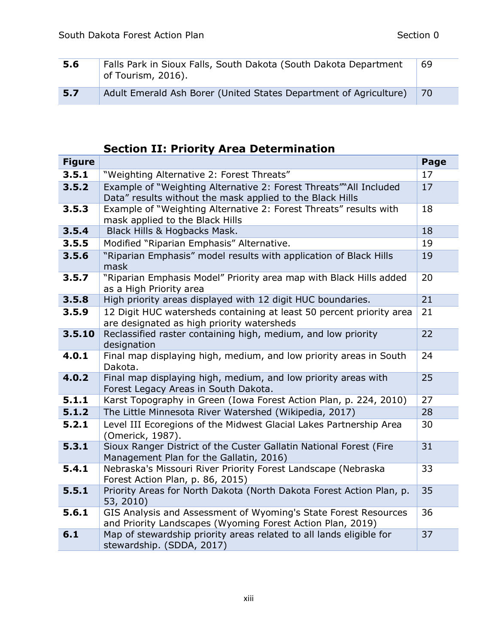| 5.6 | Falls Park in Sioux Falls, South Dakota (South Dakota Department<br>of Tourism, 2016). | 69  |
|-----|----------------------------------------------------------------------------------------|-----|
| 5.7 | Adult Emerald Ash Borer (United States Department of Agriculture)                      | -70 |

# <span id="page-13-0"></span>**Section II: Priority Area Determination**

| <b>Figure</b> |                                                                                                                                | Page |
|---------------|--------------------------------------------------------------------------------------------------------------------------------|------|
| 3.5.1         | "Weighting Alternative 2: Forest Threats"                                                                                      | 17   |
| 3.5.2         | Example of "Weighting Alternative 2: Forest Threats" All Included<br>Data" results without the mask applied to the Black Hills | 17   |
| 3.5.3         | Example of "Weighting Alternative 2: Forest Threats" results with<br>mask applied to the Black Hills                           | 18   |
| 3.5.4         | Black Hills & Hogbacks Mask.                                                                                                   | 18   |
| 3.5.5         | Modified "Riparian Emphasis" Alternative.                                                                                      | 19   |
| 3.5.6         | "Riparian Emphasis" model results with application of Black Hills<br>mask                                                      | 19   |
| 3.5.7         | "Riparian Emphasis Model" Priority area map with Black Hills added<br>as a High Priority area                                  | 20   |
| 3.5.8         | High priority areas displayed with 12 digit HUC boundaries.                                                                    | 21   |
| 3.5.9         | 12 Digit HUC watersheds containing at least 50 percent priority area<br>are designated as high priority watersheds             | 21   |
| 3.5.10        | Reclassified raster containing high, medium, and low priority<br>designation                                                   | 22   |
| 4.0.1         | Final map displaying high, medium, and low priority areas in South<br>Dakota.                                                  | 24   |
| 4.0.2         | Final map displaying high, medium, and low priority areas with<br>Forest Legacy Areas in South Dakota.                         | 25   |
| 5.1.1         | Karst Topography in Green (Iowa Forest Action Plan, p. 224, 2010)                                                              | 27   |
| 5.1.2         | The Little Minnesota River Watershed (Wikipedia, 2017)                                                                         | 28   |
| 5.2.1         | Level III Ecoregions of the Midwest Glacial Lakes Partnership Area<br>(Omerick, 1987).                                         | 30   |
| 5.3.1         | Sioux Ranger District of the Custer Gallatin National Forest (Fire<br>Management Plan for the Gallatin, 2016)                  | 31   |
| 5.4.1         | Nebraska's Missouri River Priority Forest Landscape (Nebraska<br>Forest Action Plan, p. 86, 2015)                              | 33   |
| 5.5.1         | Priority Areas for North Dakota (North Dakota Forest Action Plan, p.<br>53, 2010)                                              | 35   |
| 5.6.1         | GIS Analysis and Assessment of Wyoming's State Forest Resources<br>and Priority Landscapes (Wyoming Forest Action Plan, 2019)  | 36   |
| 6.1           | Map of stewardship priority areas related to all lands eligible for<br>stewardship. (SDDA, 2017)                               | 37   |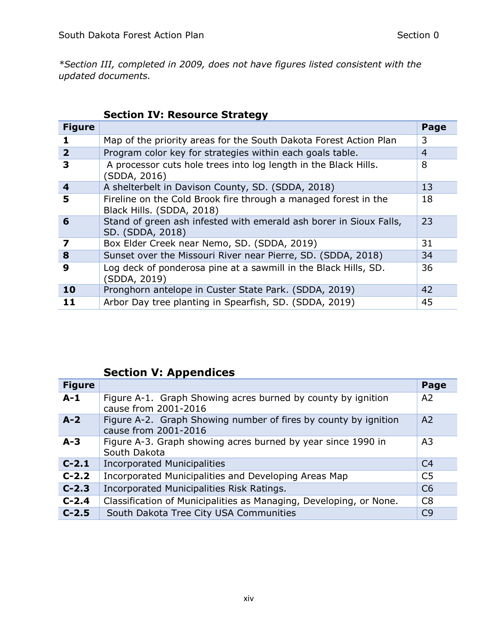*\*Section III, completed in 2009, does not have figures listed consistent with the updated documents.* 

|                | <b>Section IV: Resource Strategy</b>                                                         |                |
|----------------|----------------------------------------------------------------------------------------------|----------------|
| <b>Figure</b>  |                                                                                              | Page           |
|                | Map of the priority areas for the South Dakota Forest Action Plan                            | 3              |
| $\overline{2}$ | Program color key for strategies within each goals table.                                    | $\overline{4}$ |
| 3              | A processor cuts hole trees into log length in the Black Hills.<br>(SDDA, 2016)              | 8              |
| 4              | A shelterbelt in Davison County, SD. (SDDA, 2018)                                            | 13             |
| 5              | Fireline on the Cold Brook fire through a managed forest in the<br>Black Hills. (SDDA, 2018) | 18             |
| 6              | Stand of green ash infested with emerald ash borer in Sioux Falls,<br>SD. (SDDA, 2018)       | 23             |
| 7              | Box Elder Creek near Nemo, SD. (SDDA, 2019)                                                  | 31             |
| 8              | Sunset over the Missouri River near Pierre, SD. (SDDA, 2018)                                 | 34             |
| 9              | Log deck of ponderosa pine at a sawmill in the Black Hills, SD.<br>(SDDA, 2019)              | 36             |
| 10             | Pronghorn antelope in Custer State Park. (SDDA, 2019)                                        | 42             |
| 11             | Arbor Day tree planting in Spearfish, SD. (SDDA, 2019)                                       | 45             |

#### <span id="page-14-0"></span>**Section IV: Resource Strategy**

## <span id="page-14-1"></span>**Section V: Appendices**

| <b>Figure</b> |                                                                                         | Page           |
|---------------|-----------------------------------------------------------------------------------------|----------------|
| $A-1$         | Figure A-1. Graph Showing acres burned by county by ignition<br>cause from 2001-2016    | A2             |
| $A-2$         | Figure A-2. Graph Showing number of fires by county by ignition<br>cause from 2001-2016 | A <sub>2</sub> |
| $A-3$         | Figure A-3. Graph showing acres burned by year since 1990 in<br>South Dakota            | A <sub>3</sub> |
| $C-2.1$       | <b>Incorporated Municipalities</b>                                                      | C <sub>4</sub> |
| $C-2.2$       | Incorporated Municipalities and Developing Areas Map                                    | C <sub>5</sub> |
| $C-2.3$       | Incorporated Municipalities Risk Ratings.                                               | C6             |
| $C-2.4$       | Classification of Municipalities as Managing, Developing, or None.                      | C <sub>8</sub> |
| $C-2.5$       | South Dakota Tree City USA Communities                                                  | C9             |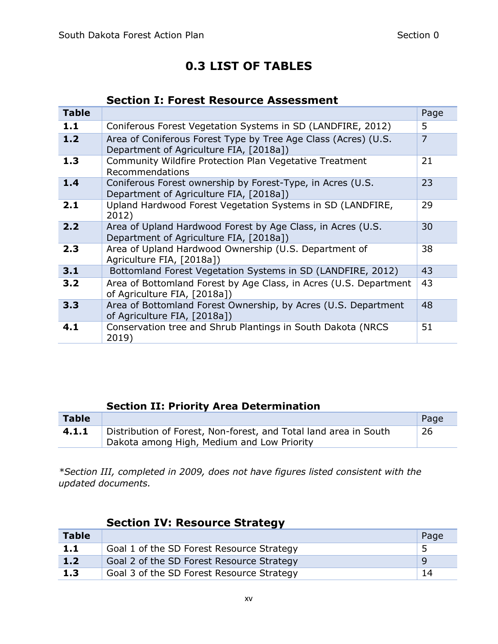## **0.3 LIST OF TABLES**

### <span id="page-15-1"></span>**Section I: Forest Resource Assessment**

<span id="page-15-0"></span>

| <b>Table</b> |                                                                                                           | Page           |
|--------------|-----------------------------------------------------------------------------------------------------------|----------------|
| 1.1          | Coniferous Forest Vegetation Systems in SD (LANDFIRE, 2012)                                               | 5              |
| 1.2          | Area of Coniferous Forest Type by Tree Age Class (Acres) (U.S.<br>Department of Agriculture FIA, [2018a]) | $\overline{7}$ |
| 1.3          | Community Wildfire Protection Plan Vegetative Treatment<br>Recommendations                                | 21             |
| 1.4          | Coniferous Forest ownership by Forest-Type, in Acres (U.S.<br>Department of Agriculture FIA, [2018a])     | 23             |
| 2.1          | Upland Hardwood Forest Vegetation Systems in SD (LANDFIRE,<br>2012)                                       | 29             |
| 2.2          | Area of Upland Hardwood Forest by Age Class, in Acres (U.S.<br>Department of Agriculture FIA, [2018a])    | 30             |
| 2.3          | Area of Upland Hardwood Ownership (U.S. Department of<br>Agriculture FIA, [2018a])                        | 38             |
| 3.1          | Bottomland Forest Vegetation Systems in SD (LANDFIRE, 2012)                                               | 43             |
| 3.2          | Area of Bottomland Forest by Age Class, in Acres (U.S. Department<br>of Agriculture FIA, [2018a])         | 43             |
| 3.3          | Area of Bottomland Forest Ownership, by Acres (U.S. Department<br>of Agriculture FIA, [2018a])            | 48             |
| 4.1          | Conservation tree and Shrub Plantings in South Dakota (NRCS<br>2019)                                      | 51             |

## <span id="page-15-2"></span>**Section II: Priority Area Determination**

| <b>Table</b> |                                                                  | Page |
|--------------|------------------------------------------------------------------|------|
| 4.1.1        | Distribution of Forest, Non-forest, and Total land area in South | 26   |
|              | Dakota among High, Medium and Low Priority                       |      |

*\*Section III, completed in 2009, does not have figures listed consistent with the updated documents.*

|              | <b>Section IV: Resource Strategy</b>      |      |
|--------------|-------------------------------------------|------|
| <b>Table</b> |                                           | Page |
| 1.1          | Goal 1 of the SD Forest Resource Strategy | 5    |
| 1.2          | Goal 2 of the SD Forest Resource Strategy | - q  |
| 1.3          | Goal 3 of the SD Forest Resource Strategy | 14   |

### <span id="page-15-3"></span>**Section IV: Resource Strategy**